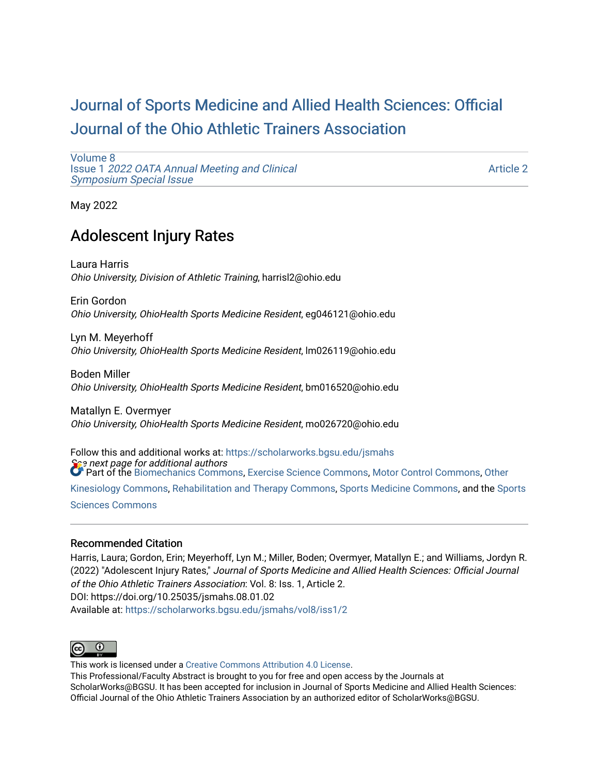# [Journal of Sports Medicine and Allied Health Sciences: Official](https://scholarworks.bgsu.edu/jsmahs)  [Journal of the Ohio Athletic Trainers Association](https://scholarworks.bgsu.edu/jsmahs)

[Volume 8](https://scholarworks.bgsu.edu/jsmahs/vol8) Issue 1 [2022 OATA Annual Meeting and Clinical](https://scholarworks.bgsu.edu/jsmahs/vol8/iss1) [Symposium Special Issue](https://scholarworks.bgsu.edu/jsmahs/vol8/iss1)

[Article 2](https://scholarworks.bgsu.edu/jsmahs/vol8/iss1/2) 

May 2022

# Adolescent Injury Rates

Laura Harris Ohio University, Division of Athletic Training, harrisl2@ohio.edu

Erin Gordon Ohio University, OhioHealth Sports Medicine Resident, eg046121@ohio.edu

Lyn M. Meyerhoff Ohio University, OhioHealth Sports Medicine Resident, lm026119@ohio.edu

Boden Miller Ohio University, OhioHealth Sports Medicine Resident, bm016520@ohio.edu

Matallyn E. Overmyer Ohio University, OhioHealth Sports Medicine Resident, mo026720@ohio.edu

 $\epsilon$  next page for additional authors Follow this and additional works at: [https://scholarworks.bgsu.edu/jsmahs](https://scholarworks.bgsu.edu/jsmahs?utm_source=scholarworks.bgsu.edu%2Fjsmahs%2Fvol8%2Fiss1%2F2&utm_medium=PDF&utm_campaign=PDFCoverPages) Part of the [Biomechanics Commons,](https://network.bepress.com/hgg/discipline/43?utm_source=scholarworks.bgsu.edu%2Fjsmahs%2Fvol8%2Fiss1%2F2&utm_medium=PDF&utm_campaign=PDFCoverPages) [Exercise Science Commons](https://network.bepress.com/hgg/discipline/1091?utm_source=scholarworks.bgsu.edu%2Fjsmahs%2Fvol8%2Fiss1%2F2&utm_medium=PDF&utm_campaign=PDFCoverPages), [Motor Control Commons](https://network.bepress.com/hgg/discipline/45?utm_source=scholarworks.bgsu.edu%2Fjsmahs%2Fvol8%2Fiss1%2F2&utm_medium=PDF&utm_campaign=PDFCoverPages), [Other](https://network.bepress.com/hgg/discipline/47?utm_source=scholarworks.bgsu.edu%2Fjsmahs%2Fvol8%2Fiss1%2F2&utm_medium=PDF&utm_campaign=PDFCoverPages)  [Kinesiology Commons,](https://network.bepress.com/hgg/discipline/47?utm_source=scholarworks.bgsu.edu%2Fjsmahs%2Fvol8%2Fiss1%2F2&utm_medium=PDF&utm_campaign=PDFCoverPages) [Rehabilitation and Therapy Commons](https://network.bepress.com/hgg/discipline/749?utm_source=scholarworks.bgsu.edu%2Fjsmahs%2Fvol8%2Fiss1%2F2&utm_medium=PDF&utm_campaign=PDFCoverPages), [Sports Medicine Commons](https://network.bepress.com/hgg/discipline/1331?utm_source=scholarworks.bgsu.edu%2Fjsmahs%2Fvol8%2Fiss1%2F2&utm_medium=PDF&utm_campaign=PDFCoverPages), and the [Sports](https://network.bepress.com/hgg/discipline/759?utm_source=scholarworks.bgsu.edu%2Fjsmahs%2Fvol8%2Fiss1%2F2&utm_medium=PDF&utm_campaign=PDFCoverPages)  [Sciences Commons](https://network.bepress.com/hgg/discipline/759?utm_source=scholarworks.bgsu.edu%2Fjsmahs%2Fvol8%2Fiss1%2F2&utm_medium=PDF&utm_campaign=PDFCoverPages) 

#### Recommended Citation

Harris, Laura; Gordon, Erin; Meyerhoff, Lyn M.; Miller, Boden; Overmyer, Matallyn E.; and Williams, Jordyn R. (2022) "Adolescent Injury Rates," Journal of Sports Medicine and Allied Health Sciences: Official Journal of the Ohio Athletic Trainers Association: Vol. 8: Iss. 1, Article 2. DOI: https://doi.org/10.25035/jsmahs.08.01.02 Available at: [https://scholarworks.bgsu.edu/jsmahs/vol8/iss1/2](https://scholarworks.bgsu.edu/jsmahs/vol8/iss1/2?utm_source=scholarworks.bgsu.edu%2Fjsmahs%2Fvol8%2Fiss1%2F2&utm_medium=PDF&utm_campaign=PDFCoverPages)



This work is licensed under a [Creative Commons Attribution 4.0 License](https://creativecommons.org/licenses/by/4.0/). This Professional/Faculty Abstract is brought to you for free and open access by the Journals at ScholarWorks@BGSU. It has been accepted for inclusion in Journal of Sports Medicine and Allied Health Sciences: Official Journal of the Ohio Athletic Trainers Association by an authorized editor of ScholarWorks@BGSU.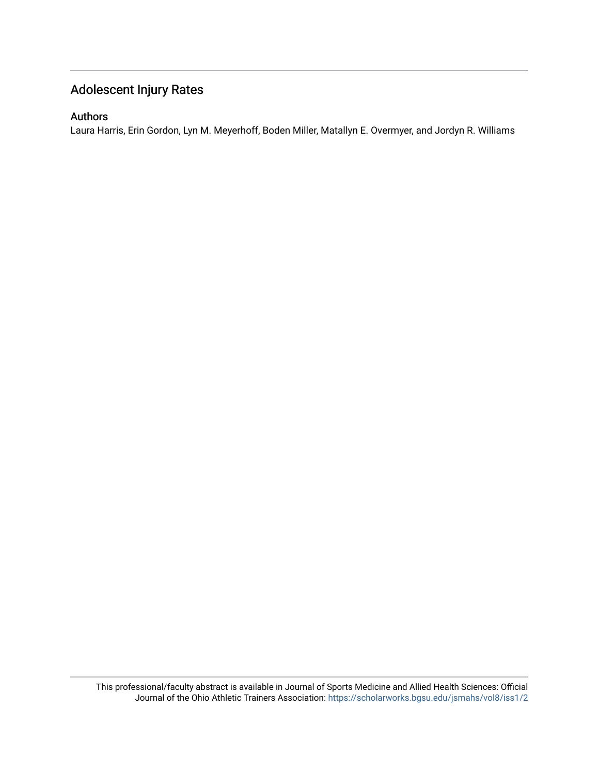## Adolescent Injury Rates

#### Authors

Laura Harris, Erin Gordon, Lyn M. Meyerhoff, Boden Miller, Matallyn E. Overmyer, and Jordyn R. Williams

This professional/faculty abstract is available in Journal of Sports Medicine and Allied Health Sciences: Official Journal of the Ohio Athletic Trainers Association: <https://scholarworks.bgsu.edu/jsmahs/vol8/iss1/2>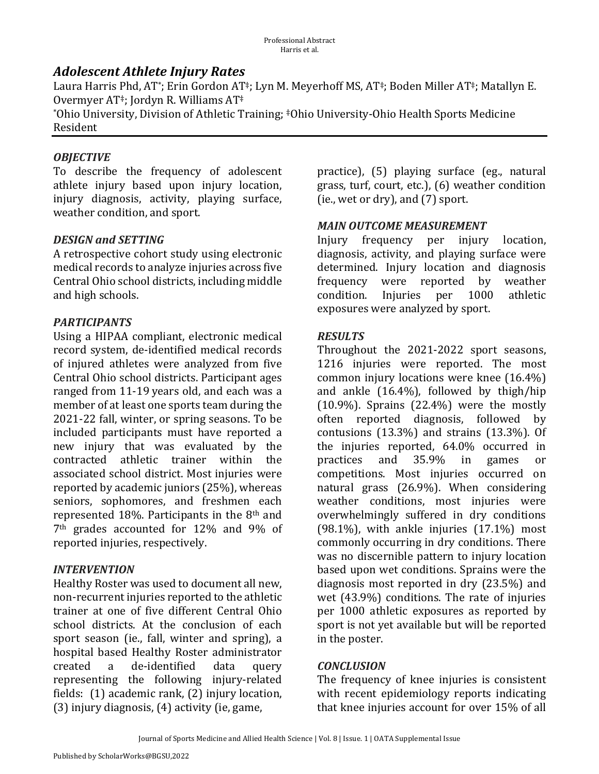## *Adolescent Athlete Injury Rates*

Laura Harris Phd, AT\*; Erin Gordon AT<sup>‡</sup>; Lyn M. Meyerhoff MS, AT<sup>‡</sup>; Boden Miller AT<sup>‡</sup>; Matallyn E. Overmyer  $AT^*$ ; Jordyn R. Williams  $AT^*$ 

\*Ohio University, Division of Athletic Training; \*Ohio University-Ohio Health Sports Medicine Resident 

### *OBJECTIVE*

To describe the frequency of adolescent athlete injury based upon injury location, injury diagnosis, activity, playing surface, weather condition, and sport.

### **DESIGN and SETTING**

A retrospective cohort study using electronic medical records to analyze injuries across five Central Ohio school districts, including middle and high schools.

### *PARTICIPANTS*

Using a HIPAA compliant, electronic medical record system, de-identified medical records of injured athletes were analyzed from five Central Ohio school districts. Participant ages ranged from 11-19 years old, and each was a member of at least one sports team during the 2021-22 fall, winter, or spring seasons. To be included participants must have reported a new injury that was evaluated by the contracted athletic trainer within the associated school district. Most injuries were reported by academic juniors (25%), whereas seniors, sophomores, and freshmen each represented 18%. Participants in the  $8<sup>th</sup>$  and 7<sup>th</sup> grades accounted for 12% and 9% of reported injuries, respectively.

### *INTERVENTION*

Healthy Roster was used to document all new, non-recurrent injuries reported to the athletic trainer at one of five different Central Ohio school districts. At the conclusion of each sport season (ie., fall, winter and spring), a hospital based Healthy Roster administrator created a de-identified data query representing the following injury-related fields:  $(1)$  academic rank,  $(2)$  injury location,  $(3)$  injury diagnosis,  $(4)$  activity (ie, game,

practice), (5) playing surface (eg., natural grass, turf, court, etc.),  $(6)$  weather condition (ie., wet or dry), and  $(7)$  sport.

### *MAIN.OUTCOME.MEASUREMENT*

Injury frequency per injury location, diagnosis, activity, and playing surface were determined. Injury location and diagnosis frequency were reported by weather condition. Injuries per 1000 athletic exposures were analyzed by sport.

#### *RESULTS*

Throughout the 2021-2022 sport seasons, 1216 injuries were reported. The most common injury locations were knee  $(16.4\%)$ and ankle  $(16.4\%)$ , followed by thigh/hip  $(10.9\%)$ . Sprains  $(22.4\%)$  were the mostly often reported diagnosis, followed by contusions  $(13.3\%)$  and strains  $(13.3\%)$ . Of the injuries reported,  $64.0\%$  occurred in practices and 35.9% in games or competitions. Most injuries occurred on natural grass  $(26.9\%)$ . When considering weather conditions, most injuries were overwhelmingly suffered in dry conditions  $(98.1\%)$ , with ankle injuries  $(17.1\%)$  most commonly occurring in dry conditions. There was no discernible pattern to injury location based upon wet conditions. Sprains were the diagnosis most reported in dry  $(23.5%)$  and wet  $(43.9\%)$  conditions. The rate of injuries per 1000 athletic exposures as reported by sport is not yet available but will be reported in the poster.

#### *CONCLUSION*

The frequency of knee injuries is consistent with recent epidemiology reports indicating that knee injuries account for over 15% of all